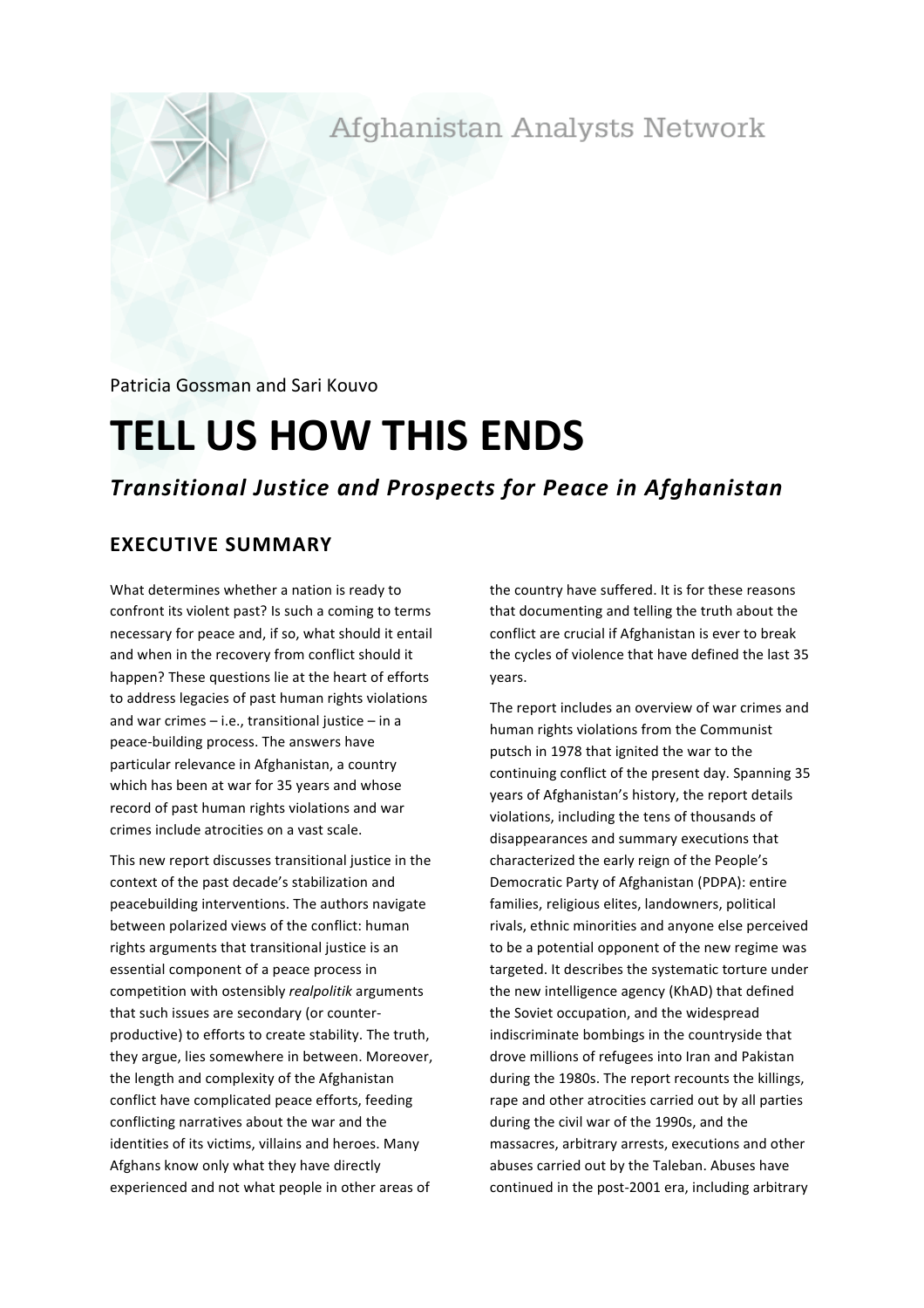Afghanistan Analysts Network

Patricia Gossman and Sari Kouvo

# **TELL US HOW THIS ENDS**

## *Transitional Justice and Prospects for Peace in Afghanistan*

## **EXECUTIVE SUMMARY**

What determines whether a nation is ready to confront its violent past? Is such a coming to terms necessary for peace and, if so, what should it entail and when in the recovery from conflict should it happen? These questions lie at the heart of efforts to address legacies of past human rights violations and war crimes  $-$  i.e., transitional justice  $-$  in a peace-building process. The answers have particular relevance in Afghanistan, a country which has been at war for 35 years and whose record of past human rights violations and war crimes include atrocities on a vast scale.

This new report discusses transitional justice in the context of the past decade's stabilization and peacebuilding interventions. The authors navigate between polarized views of the conflict: human rights arguments that transitional justice is an essential component of a peace process in competition with ostensibly *realpolitik* arguments that such issues are secondary (or counterproductive) to efforts to create stability. The truth, they argue, lies somewhere in between. Moreover, the length and complexity of the Afghanistan conflict have complicated peace efforts, feeding conflicting narratives about the war and the identities of its victims, villains and heroes. Many Afghans know only what they have directly experienced and not what people in other areas of

the country have suffered. It is for these reasons that documenting and telling the truth about the conflict are crucial if Afghanistan is ever to break the cycles of violence that have defined the last 35 years. 

The report includes an overview of war crimes and human rights violations from the Communist putsch in 1978 that ignited the war to the continuing conflict of the present day. Spanning 35 years of Afghanistan's history, the report details violations, including the tens of thousands of disappearances and summary executions that characterized the early reign of the People's Democratic Party of Afghanistan (PDPA): entire families, religious elites, landowners, political rivals, ethnic minorities and anyone else perceived to be a potential opponent of the new regime was targeted. It describes the systematic torture under the new intelligence agency (KhAD) that defined the Soviet occupation, and the widespread indiscriminate bombings in the countryside that drove millions of refugees into Iran and Pakistan during the 1980s. The report recounts the killings, rape and other atrocities carried out by all parties during the civil war of the 1990s, and the massacres, arbitrary arrests, executions and other abuses carried out by the Taleban. Abuses have continued in the post-2001 era, including arbitrary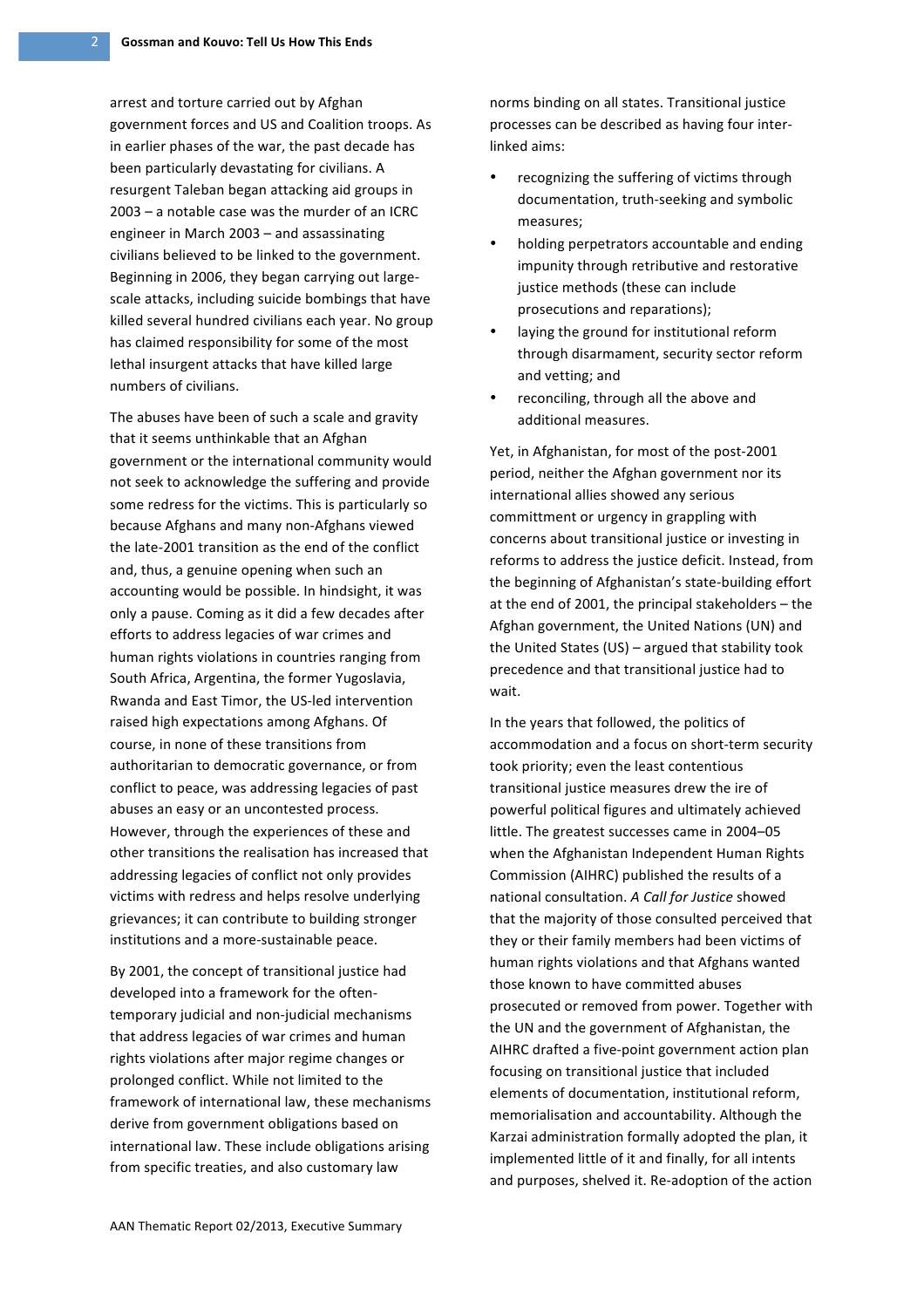arrest and torture carried out by Afghan government forces and US and Coalition troops. As in earlier phases of the war, the past decade has been particularly devastating for civilians. A resurgent Taleban began attacking aid groups in  $2003 - a$  notable case was the murder of an ICRC engineer in March  $2003 -$  and assassinating civilians believed to be linked to the government. Beginning in 2006, they began carrying out largescale attacks, including suicide bombings that have killed several hundred civilians each year. No group has claimed responsibility for some of the most lethal insurgent attacks that have killed large numbers of civilians.

The abuses have been of such a scale and gravity that it seems unthinkable that an Afghan government or the international community would not seek to acknowledge the suffering and provide some redress for the victims. This is particularly so because Afghans and many non-Afghans viewed the late-2001 transition as the end of the conflict and, thus, a genuine opening when such an accounting would be possible. In hindsight, it was only a pause. Coming as it did a few decades after efforts to address legacies of war crimes and human rights violations in countries ranging from South Africa, Argentina, the former Yugoslavia, Rwanda and East Timor, the US-led intervention raised high expectations among Afghans. Of course, in none of these transitions from authoritarian to democratic governance, or from conflict to peace, was addressing legacies of past abuses an easy or an uncontested process. However, through the experiences of these and other transitions the realisation has increased that addressing legacies of conflict not only provides victims with redress and helps resolve underlying grievances; it can contribute to building stronger institutions and a more-sustainable peace.

By 2001, the concept of transitional justice had developed into a framework for the oftentemporary judicial and non-judicial mechanisms that address legacies of war crimes and human rights violations after major regime changes or prolonged conflict. While not limited to the framework of international law, these mechanisms derive from government obligations based on international law. These include obligations arising from specific treaties, and also customary law

norms binding on all states. Transitional justice processes can be described as having four interlinked aims:

- recognizing the suffering of victims through documentation, truth-seeking and symbolic measures;
- holding perpetrators accountable and ending impunity through retributive and restorative justice methods (these can include prosecutions and reparations):
- laying the ground for institutional reform through disarmament, security sector reform and vetting; and
- reconciling, through all the above and additional measures.

Yet, in Afghanistan, for most of the post-2001 period, neither the Afghan government nor its international allies showed any serious committment or urgency in grappling with concerns about transitional justice or investing in reforms to address the justice deficit. Instead, from the beginning of Afghanistan's state-building effort at the end of 2001, the principal stakeholders  $-$  the Afghan government, the United Nations (UN) and the United States  $(US)$  – argued that stability took precedence and that transitional justice had to wait.

In the years that followed, the politics of accommodation and a focus on short-term security took priority; even the least contentious transitional justice measures drew the ire of powerful political figures and ultimately achieved little. The greatest successes came in 2004-05 when the Afghanistan Independent Human Rights Commission (AIHRC) published the results of a national consultation. A Call for Justice showed that the majority of those consulted perceived that they or their family members had been victims of human rights violations and that Afghans wanted those known to have committed abuses prosecuted or removed from power. Together with the UN and the government of Afghanistan, the AIHRC drafted a five-point government action plan focusing on transitional justice that included elements of documentation, institutional reform, memorialisation and accountability. Although the Karzai administration formally adopted the plan, it implemented little of it and finally, for all intents and purposes, shelved it. Re-adoption of the action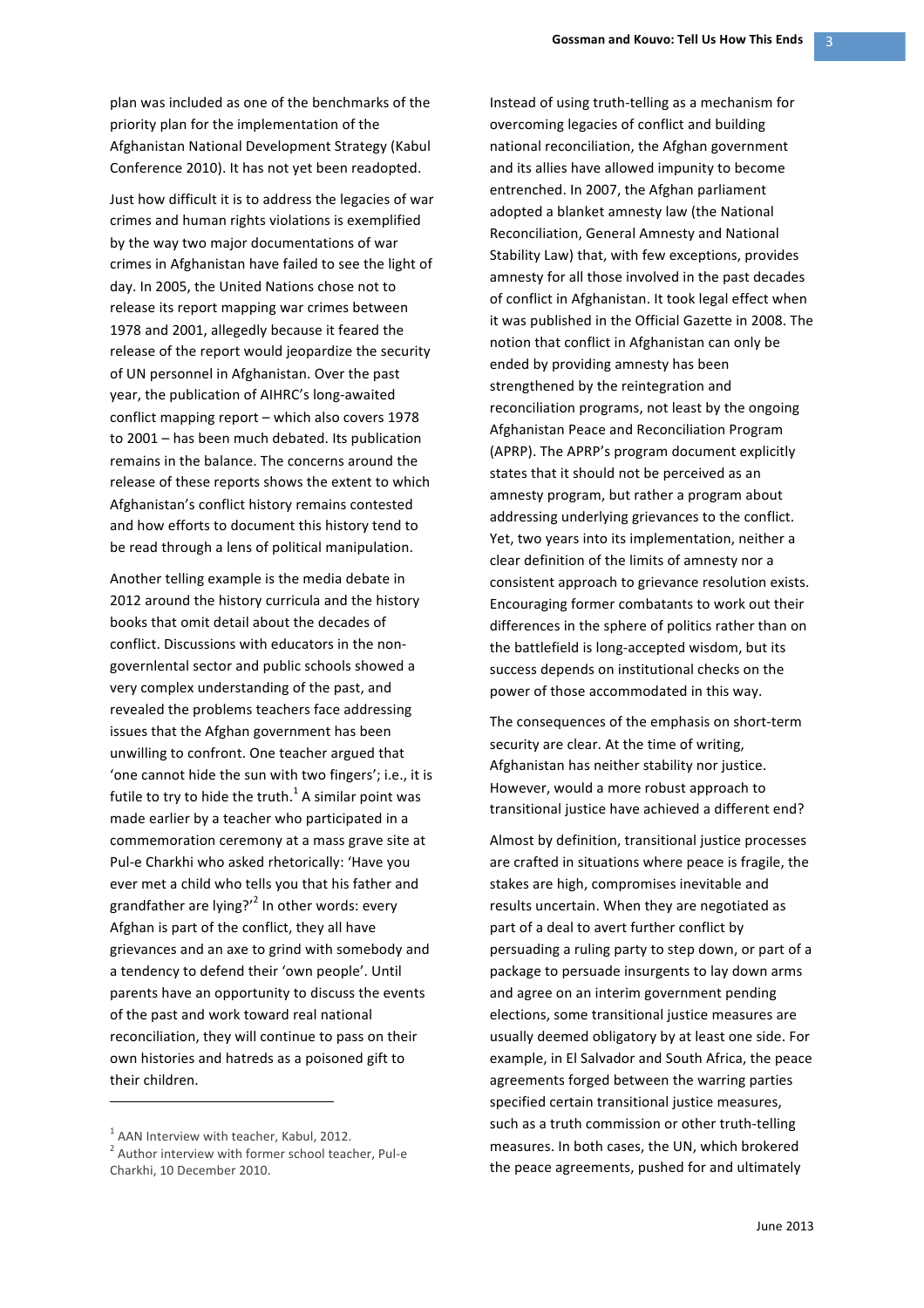plan was included as one of the benchmarks of the priority plan for the implementation of the Afghanistan National Development Strategy (Kabul Conference 2010). It has not yet been readopted.

Just how difficult it is to address the legacies of war crimes and human rights violations is exemplified by the way two major documentations of war crimes in Afghanistan have failed to see the light of day. In 2005, the United Nations chose not to release its report mapping war crimes between 1978 and 2001, allegedly because it feared the release of the report would jeopardize the security of UN personnel in Afghanistan. Over the past year, the publication of AIHRC's long-awaited conflict mapping report  $-$  which also covers 1978 to 2001 – has been much debated. Its publication remains in the balance. The concerns around the release of these reports shows the extent to which Afghanistan's conflict history remains contested and how efforts to document this history tend to be read through a lens of political manipulation.

Another telling example is the media debate in 2012 around the history curricula and the history books that omit detail about the decades of conflict. Discussions with educators in the nongovernlental sector and public schools showed a very complex understanding of the past, and revealed the problems teachers face addressing issues that the Afghan government has been unwilling to confront. One teacher argued that 'one cannot hide the sun with two fingers'; i.e., it is futile to try to hide the truth.<sup>1</sup> A similar point was made earlier by a teacher who participated in a commemoration ceremony at a mass grave site at Pul-e Charkhi who asked rhetorically: 'Have you ever met a child who tells you that his father and grandfather are lying?'<sup>2</sup> In other words: every Afghan is part of the conflict, they all have grievances and an axe to grind with somebody and a tendency to defend their 'own people'. Until parents have an opportunity to discuss the events of the past and work toward real national reconciliation, they will continue to pass on their own histories and hatreds as a poisoned gift to their children.

 

Instead of using truth-telling as a mechanism for overcoming legacies of conflict and building national reconciliation, the Afghan government and its allies have allowed impunity to become entrenched. In 2007, the Afghan parliament adopted a blanket amnesty law (the National Reconciliation, General Amnesty and National Stability Law) that, with few exceptions, provides amnesty for all those involved in the past decades of conflict in Afghanistan. It took legal effect when it was published in the Official Gazette in 2008. The notion that conflict in Afghanistan can only be ended by providing amnesty has been strengthened by the reintegration and reconciliation programs, not least by the ongoing Afghanistan Peace and Reconciliation Program (APRP). The APRP's program document explicitly states that it should not be perceived as an amnesty program, but rather a program about addressing underlying grievances to the conflict. Yet, two years into its implementation, neither a clear definition of the limits of amnesty nor a consistent approach to grievance resolution exists. Encouraging former combatants to work out their differences in the sphere of politics rather than on the battlefield is long-accepted wisdom, but its success depends on institutional checks on the power of those accommodated in this way.

The consequences of the emphasis on short-term security are clear. At the time of writing, Afghanistan has neither stability nor justice. However, would a more robust approach to transitional justice have achieved a different end?

Almost by definition, transitional justice processes are crafted in situations where peace is fragile, the stakes are high, compromises inevitable and results uncertain. When they are negotiated as part of a deal to avert further conflict by persuading a ruling party to step down, or part of a package to persuade insurgents to lay down arms and agree on an interim government pending elections, some transitional justice measures are usually deemed obligatory by at least one side. For example, in El Salvador and South Africa, the peace agreements forged between the warring parties specified certain transitional justice measures, such as a truth commission or other truth-telling measures. In both cases, the UN, which brokered the peace agreements, pushed for and ultimately

 $1$  AAN Interview with teacher, Kabul, 2012.

 $2$  Author interview with former school teacher, Pul-e Charkhi, 10 December 2010.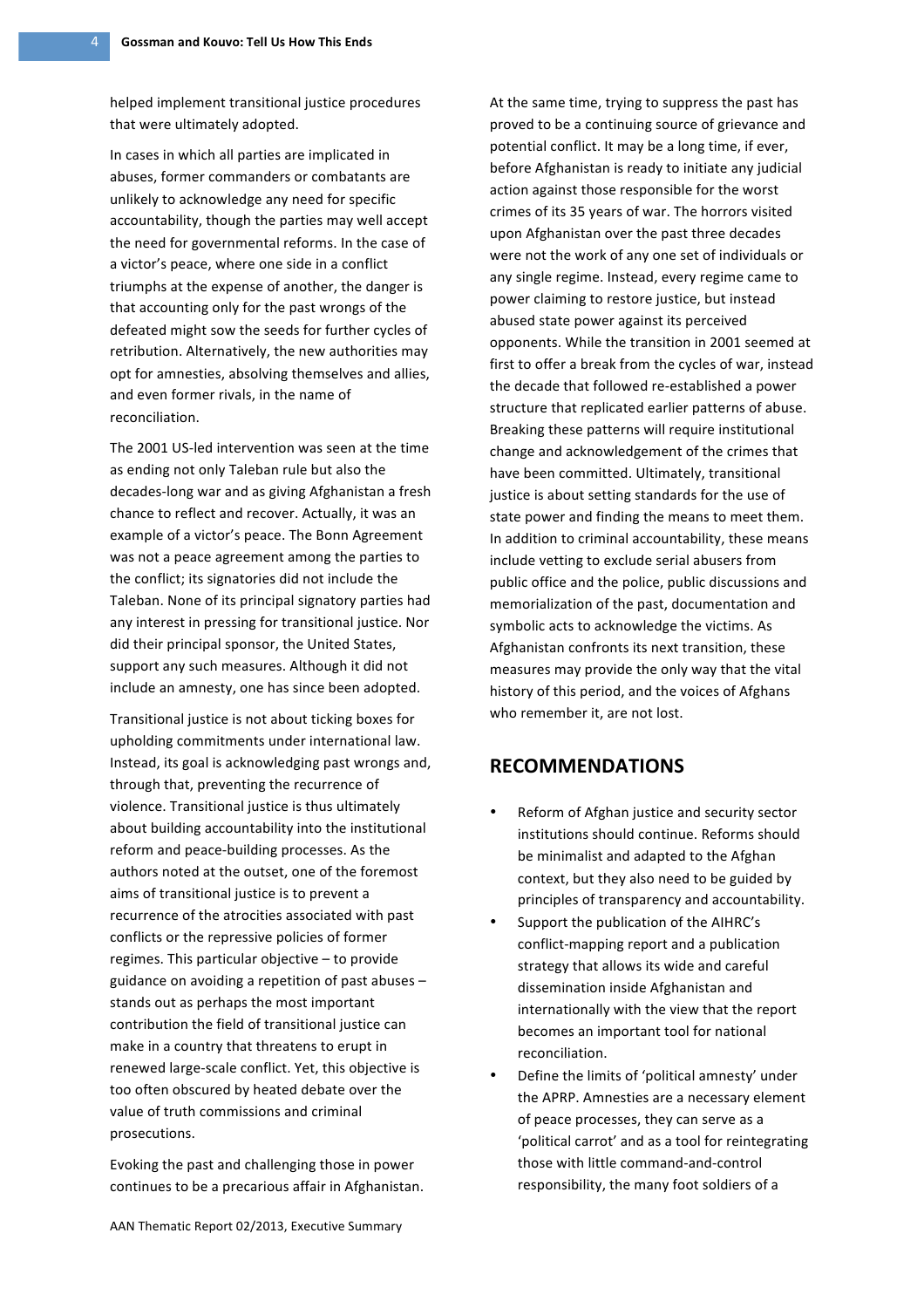helped implement transitional justice procedures that were ultimately adopted.

In cases in which all parties are implicated in abuses, former commanders or combatants are unlikely to acknowledge any need for specific accountability, though the parties may well accept the need for governmental reforms. In the case of a victor's peace, where one side in a conflict triumphs at the expense of another, the danger is that accounting only for the past wrongs of the defeated might sow the seeds for further cycles of retribution. Alternatively, the new authorities may opt for amnesties, absolving themselves and allies, and even former rivals, in the name of reconciliation. 

The 2001 US-led intervention was seen at the time as ending not only Taleban rule but also the decades-long war and as giving Afghanistan a fresh chance to reflect and recover. Actually, it was an example of a victor's peace. The Bonn Agreement was not a peace agreement among the parties to the conflict; its signatories did not include the Taleban. None of its principal signatory parties had any interest in pressing for transitional justice. Nor did their principal sponsor, the United States, support any such measures. Although it did not include an amnesty, one has since been adopted.

Transitional justice is not about ticking boxes for upholding commitments under international law. Instead, its goal is acknowledging past wrongs and, through that, preventing the recurrence of violence. Transitional justice is thus ultimately about building accountability into the institutional reform and peace-building processes. As the authors noted at the outset, one of the foremost aims of transitional justice is to prevent a recurrence of the atrocities associated with past conflicts or the repressive policies of former regimes. This particular objective  $-$  to provide guidance on avoiding a repetition of past abuses  $$ stands out as perhaps the most important contribution the field of transitional justice can make in a country that threatens to erupt in renewed large-scale conflict. Yet, this objective is too often obscured by heated debate over the value of truth commissions and criminal prosecutions.

Evoking the past and challenging those in power continues to be a precarious affair in Afghanistan.

At the same time, trying to suppress the past has proved to be a continuing source of grievance and potential conflict. It may be a long time, if ever, before Afghanistan is ready to initiate any judicial action against those responsible for the worst crimes of its 35 years of war. The horrors visited upon Afghanistan over the past three decades were not the work of any one set of individuals or any single regime. Instead, every regime came to power claiming to restore justice, but instead abused state power against its perceived opponents. While the transition in 2001 seemed at first to offer a break from the cycles of war, instead the decade that followed re-established a power structure that replicated earlier patterns of abuse. Breaking these patterns will require institutional change and acknowledgement of the crimes that have been committed. Ultimately, transitional justice is about setting standards for the use of state power and finding the means to meet them. In addition to criminal accountability, these means include vetting to exclude serial abusers from public office and the police, public discussions and memorialization of the past, documentation and symbolic acts to acknowledge the victims. As Afghanistan confronts its next transition, these measures may provide the only way that the vital history of this period, and the voices of Afghans who remember it, are not lost.

### **RECOMMENDATIONS**

- Reform of Afghan justice and security sector institutions should continue. Reforms should be minimalist and adapted to the Afghan context, but they also need to be guided by principles of transparency and accountability.
- Support the publication of the AIHRC's conflict-mapping report and a publication strategy that allows its wide and careful dissemination inside Afghanistan and internationally with the view that the report becomes an important tool for national reconciliation.
- Define the limits of 'political amnesty' under the APRP. Amnesties are a necessary element of peace processes, they can serve as a 'political carrot' and as a tool for reintegrating those with little command-and-control responsibility, the many foot soldiers of a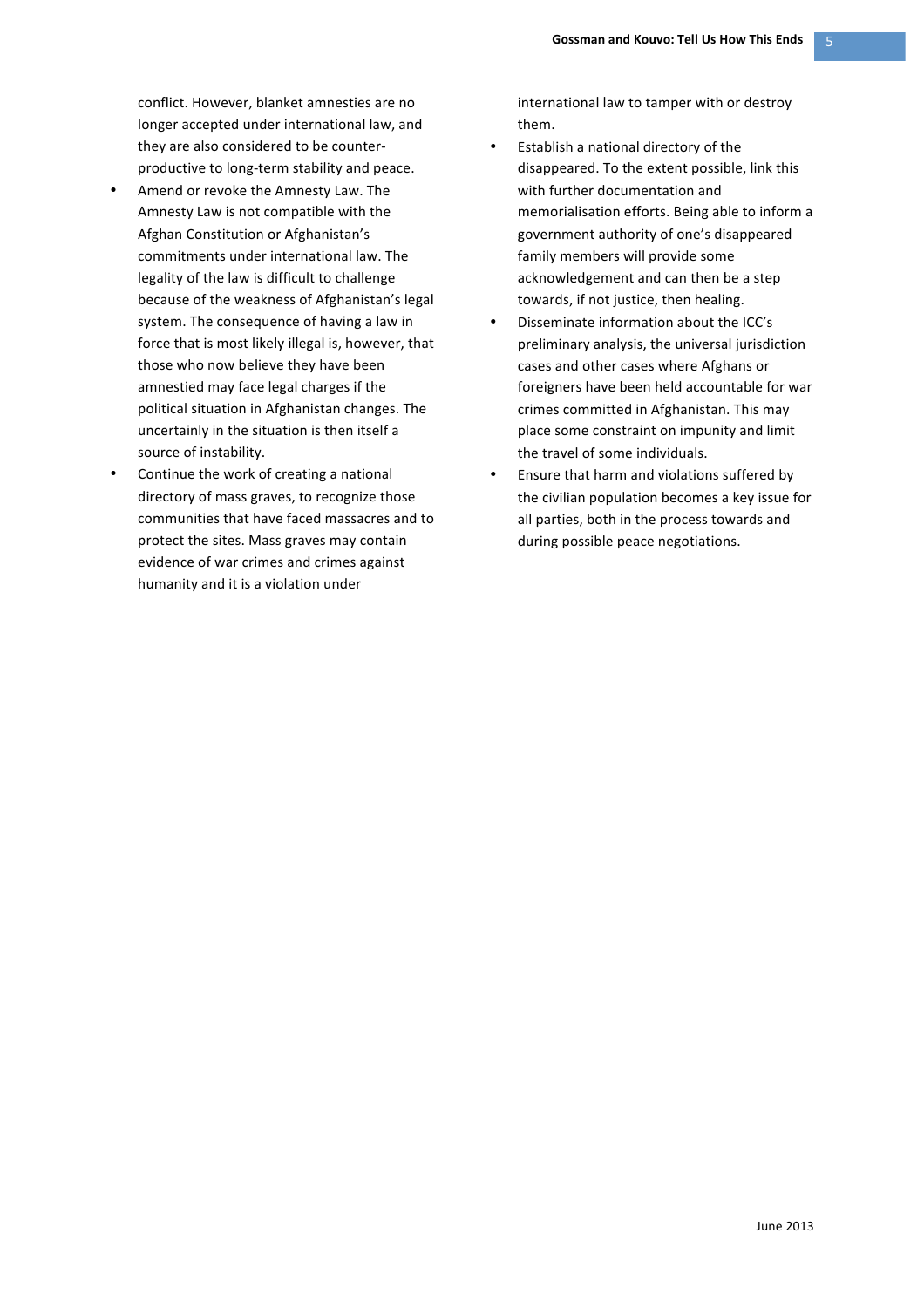conflict. However, blanket amnesties are no longer accepted under international law, and they are also considered to be counterproductive to long-term stability and peace.

- Amend or revoke the Amnesty Law. The Amnesty Law is not compatible with the Afghan Constitution or Afghanistan's commitments under international law. The legality of the law is difficult to challenge because of the weakness of Afghanistan's legal system. The consequence of having a law in force that is most likely illegal is, however, that those who now believe they have been amnestied may face legal charges if the political situation in Afghanistan changes. The uncertainly in the situation is then itself a source of instability.
- Continue the work of creating a national directory of mass graves, to recognize those communities that have faced massacres and to protect the sites. Mass graves may contain evidence of war crimes and crimes against humanity and it is a violation under

international law to tamper with or destroy them. 

- Establish a national directory of the disappeared. To the extent possible, link this with further documentation and memorialisation efforts. Being able to inform a government authority of one's disappeared family members will provide some acknowledgement and can then be a step towards, if not justice, then healing.
- Disseminate information about the ICC's preliminary analysis, the universal jurisdiction cases and other cases where Afghans or foreigners have been held accountable for war crimes committed in Afghanistan. This may place some constraint on impunity and limit the travel of some individuals.
- Ensure that harm and violations suffered by the civilian population becomes a key issue for all parties, both in the process towards and during possible peace negotiations.